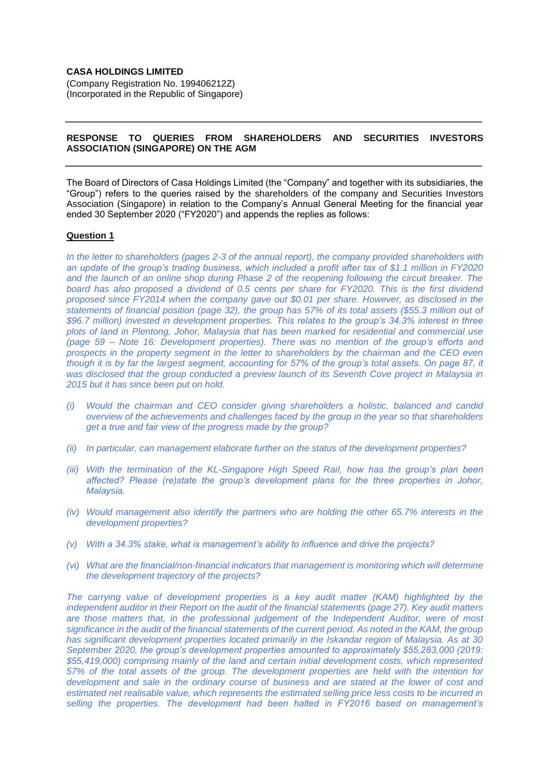# **CASA HOLDINGS LIMITED**

(Company Registration No. 199406212Z) (Incorporated in the Republic of Singapore)

## **RESPONSE TO QUERIES FROM SHAREHOLDERS AND SECURITIES INVESTORS ASSOCIATION (SINGAPORE) ON THE AGM**

The Board of Directors of Casa Holdings Limited (the "Company" and together with its subsidiaries, the "Group") refers to the queries raised by the shareholders of the company and Securities Investors Association (Singapore) in relation to the Company's Annual General Meeting for the financial year ended 30 September 2020 ("FY2020") and appends the replies as follows:

## **Question 1**

*In the letter to shareholders (pages 2-3 of the annual report), the company provided shareholders with an update of the group's trading business, which included a profit after tax of \$1.1 million in FY2020 and the launch of an online shop during Phase 2 of the reopening following the circuit breaker. The board has also proposed a dividend of 0.5 cents per share for FY2020. This is the first dividend proposed since FY2014 when the company gave out \$0.01 per share. However, as disclosed in the statements of financial position (page 32), the group has 57% of its total assets (\$55.3 million out of \$96.7 million) invested in development properties. This relates to the group's 34.3% interest in three plots of land in Plentong, Johor, Malaysia that has been marked for residential and commercial use (page 59 – Note 16: Development properties). There was no mention of the group's efforts and prospects in the property segment in the letter to shareholders by the chairman and the CEO even though it is by far the largest segment, accounting for 57% of the group's total assets. On page 87, it was disclosed that the group conducted a preview launch of its Seventh Cove project in Malaysia in 2015 but it has since been put on hold.*

- *(i) Would the chairman and CEO consider giving shareholders a holistic, balanced and candid overview of the achievements and challenges faced by the group in the year so that shareholders get a true and fair view of the progress made by the group?*
- *(ii) In particular, can management elaborate further on the status of the development properties?*
- *(iii) With the termination of the KL-Singapore High Speed Rail, how has the group's plan been affected? Please (re)state the group's development plans for the three properties in Johor, Malaysia.*
- *(iv) Would management also identify the partners who are holding the other 65.7% interests in the development properties?*
- *(v) With a 34.3% stake, what is management's ability to influence and drive the projects?*
- *(vi) What are the financial/non-financial indicators that management is monitoring which will determine the development trajectory of the projects?*

*The carrying value of development properties is a key audit matter (KAM) highlighted by the independent auditor in their Report on the audit of the financial statements (page 27). Key audit matters are those matters that, in the professional judgement of the Independent Auditor, were of most significance in the audit of the financial statements of the current period. As noted in the KAM, the group has significant development properties located primarily in the Iskandar region of Malaysia. As at 30 September 2020, the group's development properties amounted to approximately \$55,283,000 (2019: \$55,419,000) comprising mainly of the land and certain initial development costs, which represented 57% of the total assets of the group. The development properties are held with the intention for development and sale in the ordinary course of business and are stated at the lower of cost and estimated net realisable value, which represents the estimated selling price less costs to be incurred in selling the properties. The development had been halted in FY2016 based on management's*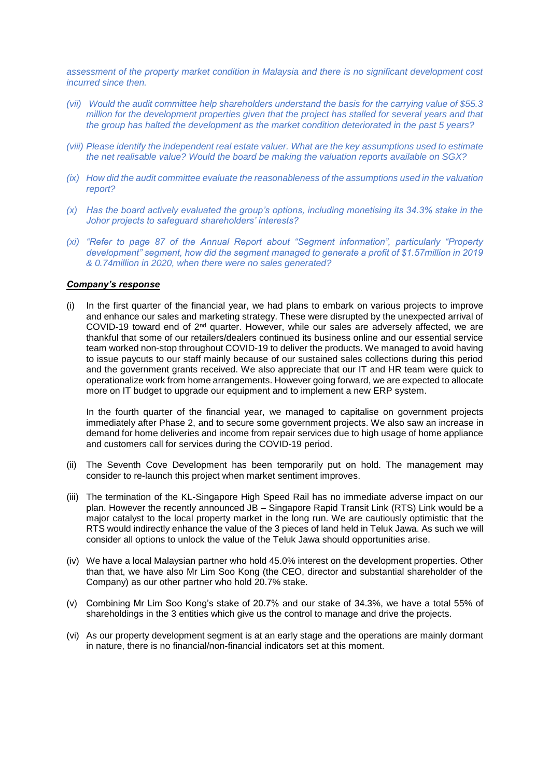*assessment of the property market condition in Malaysia and there is no significant development cost incurred since then.*

- *(vii) Would the audit committee help shareholders understand the basis for the carrying value of \$55.3 million for the development properties given that the project has stalled for several years and that the group has halted the development as the market condition deteriorated in the past 5 years?*
- *(viii)* Please identify the independent real estate valuer. What are the key assumptions used to estimate *the net realisable value? Would the board be making the valuation reports available on SGX?*
- *(ix) How did the audit committee evaluate the reasonableness of the assumptions used in the valuation report?*
- *(x) Has the board actively evaluated the group's options, including monetising its 34.3% stake in the Johor projects to safeguard shareholders' interests?*
- *(xi) "Refer to page 87 of the Annual Report about "Segment information", particularly "Property development" segment, how did the segment managed to generate a profit of \$1.57million in 2019 & 0.74million in 2020, when there were no sales generated?*

# *Company's response*

(i) In the first quarter of the financial year, we had plans to embark on various projects to improve and enhance our sales and marketing strategy. These were disrupted by the unexpected arrival of COVID-19 toward end of 2nd quarter. However, while our sales are adversely affected, we are thankful that some of our retailers/dealers continued its business online and our essential service team worked non-stop throughout COVID-19 to deliver the products. We managed to avoid having to issue paycuts to our staff mainly because of our sustained sales collections during this period and the government grants received. We also appreciate that our IT and HR team were quick to operationalize work from home arrangements. However going forward, we are expected to allocate more on IT budget to upgrade our equipment and to implement a new ERP system.

In the fourth quarter of the financial year, we managed to capitalise on government projects immediately after Phase 2, and to secure some government projects. We also saw an increase in demand for home deliveries and income from repair services due to high usage of home appliance and customers call for services during the COVID-19 period.

- (ii) The Seventh Cove Development has been temporarily put on hold. The management may consider to re-launch this project when market sentiment improves.
- (iii) The termination of the KL-Singapore High Speed Rail has no immediate adverse impact on our plan. However the recently announced JB – Singapore Rapid Transit Link (RTS) Link would be a major catalyst to the local property market in the long run. We are cautiously optimistic that the RTS would indirectly enhance the value of the 3 pieces of land held in Teluk Jawa. As such we will consider all options to unlock the value of the Teluk Jawa should opportunities arise.
- (iv) We have a local Malaysian partner who hold 45.0% interest on the development properties. Other than that, we have also Mr Lim Soo Kong (the CEO, director and substantial shareholder of the Company) as our other partner who hold 20.7% stake.
- (v) Combining Mr Lim Soo Kong's stake of 20.7% and our stake of 34.3%, we have a total 55% of shareholdings in the 3 entities which give us the control to manage and drive the projects.
- (vi) As our property development segment is at an early stage and the operations are mainly dormant in nature, there is no financial/non-financial indicators set at this moment.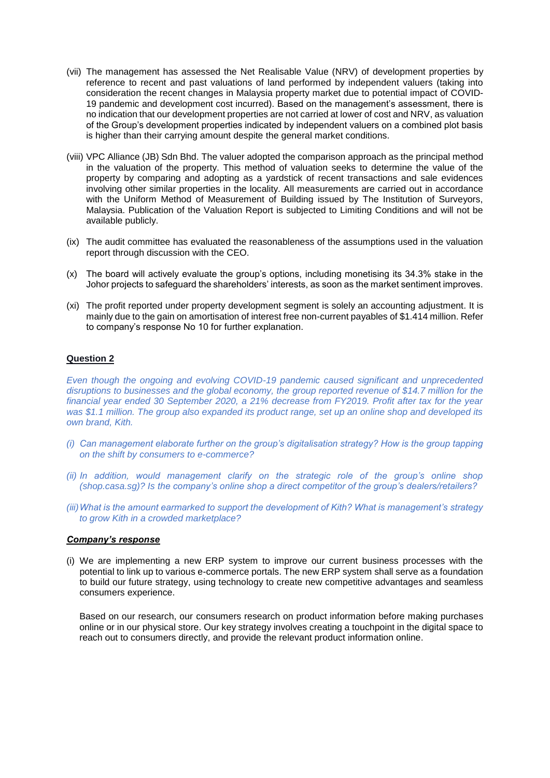- (vii) The management has assessed the Net Realisable Value (NRV) of development properties by reference to recent and past valuations of land performed by independent valuers (taking into consideration the recent changes in Malaysia property market due to potential impact of COVID-19 pandemic and development cost incurred). Based on the management's assessment, there is no indication that our development properties are not carried at lower of cost and NRV, as valuation of the Group's development properties indicated by independent valuers on a combined plot basis is higher than their carrying amount despite the general market conditions.
- (viii) VPC Alliance (JB) Sdn Bhd. The valuer adopted the comparison approach as the principal method in the valuation of the property. This method of valuation seeks to determine the value of the property by comparing and adopting as a yardstick of recent transactions and sale evidences involving other similar properties in the locality. All measurements are carried out in accordance with the Uniform Method of Measurement of Building issued by The Institution of Surveyors, Malaysia. Publication of the Valuation Report is subjected to Limiting Conditions and will not be available publicly.
- (ix) The audit committee has evaluated the reasonableness of the assumptions used in the valuation report through discussion with the CEO.
- (x) The board will actively evaluate the group's options, including monetising its 34.3% stake in the Johor projects to safeguard the shareholders' interests, as soon as the market sentiment improves.
- (xi) The profit reported under property development segment is solely an accounting adjustment. It is mainly due to the gain on amortisation of interest free non-current payables of \$1.414 million. Refer to company's response No 10 for further explanation.

*Even though the ongoing and evolving COVID-19 pandemic caused significant and unprecedented disruptions to businesses and the global economy, the group reported revenue of \$14.7 million for the financial year ended 30 September 2020, a 21% decrease from FY2019. Profit after tax for the year was \$1.1 million. The group also expanded its product range, set up an online shop and developed its own brand, Kith.*

- *(i) Can management elaborate further on the group's digitalisation strategy? How is the group tapping on the shift by consumers to e-commerce?*
- *(ii) In addition, would management clarify on the strategic role of the group's online shop (shop.casa.sg)? Is the company's online shop a direct competitor of the group's dealers/retailers?*
- *(iii)What is the amount earmarked to support the development of Kith? What is management's strategy to grow Kith in a crowded marketplace?*

## *Company's response*

(i) We are implementing a new ERP system to improve our current business processes with the potential to link up to various e-commerce portals. The new ERP system shall serve as a foundation to build our future strategy, using technology to create new competitive advantages and seamless consumers experience.

Based on our research, our consumers research on product information before making purchases online or in our physical store. Our key strategy involves creating a touchpoint in the digital space to reach out to consumers directly, and provide the relevant product information online.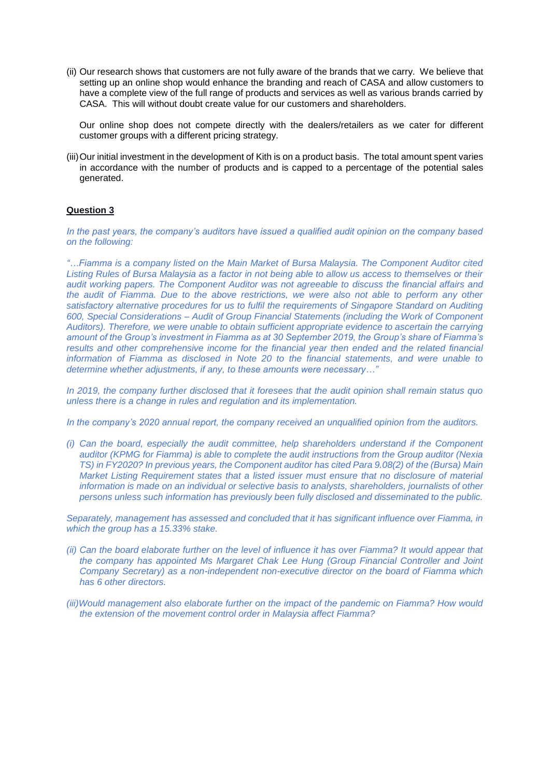(ii) Our research shows that customers are not fully aware of the brands that we carry. We believe that setting up an online shop would enhance the branding and reach of CASA and allow customers to have a complete view of the full range of products and services as well as various brands carried by CASA. This will without doubt create value for our customers and shareholders.

Our online shop does not compete directly with the dealers/retailers as we cater for different customer groups with a different pricing strategy.

(iii)Our initial investment in the development of Kith is on a product basis. The total amount spent varies in accordance with the number of products and is capped to a percentage of the potential sales generated.

# **Question 3**

*In the past years, the company's auditors have issued a qualified audit opinion on the company based on the following:*

*"…Fiamma is a company listed on the Main Market of Bursa Malaysia. The Component Auditor cited Listing Rules of Bursa Malaysia as a factor in not being able to allow us access to themselves or their audit working papers. The Component Auditor was not agreeable to discuss the financial affairs and the audit of Fiamma. Due to the above restrictions, we were also not able to perform any other satisfactory alternative procedures for us to fulfil the requirements of Singapore Standard on Auditing 600, Special Considerations – Audit of Group Financial Statements (including the Work of Component Auditors). Therefore, we were unable to obtain sufficient appropriate evidence to ascertain the carrying amount of the Group's investment in Fiamma as at 30 September 2019, the Group's share of Fiamma's results and other comprehensive income for the financial year then ended and the related financial information of Fiamma as disclosed in Note 20 to the financial statements, and were unable to determine whether adjustments, if any, to these amounts were necessary…"* 

*In 2019, the company further disclosed that it foresees that the audit opinion shall remain status quo unless there is a change in rules and regulation and its implementation.*

*In the company's 2020 annual report, the company received an unqualified opinion from the auditors.*

*(i) Can the board, especially the audit committee, help shareholders understand if the Component auditor (KPMG for Fiamma) is able to complete the audit instructions from the Group auditor (Nexia TS) in FY2020? In previous years, the Component auditor has cited Para 9.08(2) of the (Bursa) Main Market Listing Requirement states that a listed issuer must ensure that no disclosure of material information is made on an individual or selective basis to analysts, shareholders, journalists of other persons unless such information has previously been fully disclosed and disseminated to the public.*

*Separately, management has assessed and concluded that it has significant influence over Fiamma, in which the group has a 15.33% stake.*

- *(ii) Can the board elaborate further on the level of influence it has over Fiamma? It would appear that the company has appointed Ms Margaret Chak Lee Hung (Group Financial Controller and Joint Company Secretary) as a non-independent non-executive director on the board of Fiamma which has 6 other directors.*
- *(iii)Would management also elaborate further on the impact of the pandemic on Fiamma? How would the extension of the movement control order in Malaysia affect Fiamma?*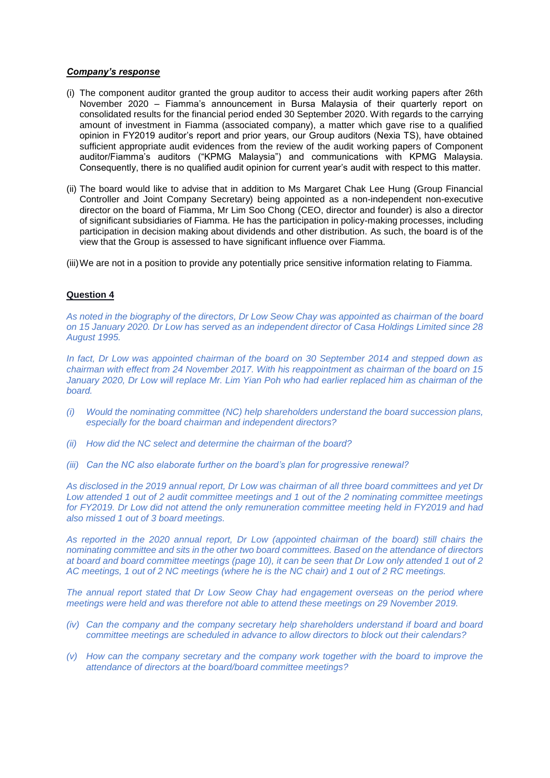### *Company's response*

- (i) The component auditor granted the group auditor to access their audit working papers after 26th November 2020 – Fiamma's announcement in Bursa Malaysia of their quarterly report on consolidated results for the financial period ended 30 September 2020. With regards to the carrying amount of investment in Fiamma (associated company), a matter which gave rise to a qualified opinion in FY2019 auditor's report and prior years, our Group auditors (Nexia TS), have obtained sufficient appropriate audit evidences from the review of the audit working papers of Component auditor/Fiamma's auditors ("KPMG Malaysia") and communications with KPMG Malaysia. Consequently, there is no qualified audit opinion for current year's audit with respect to this matter.
- (ii) The board would like to advise that in addition to Ms Margaret Chak Lee Hung (Group Financial Controller and Joint Company Secretary) being appointed as a non-independent non-executive director on the board of Fiamma, Mr Lim Soo Chong (CEO, director and founder) is also a director of significant subsidiaries of Fiamma. He has the participation in policy-making processes, including participation in decision making about dividends and other distribution. As such, the board is of the view that the Group is assessed to have significant influence over Fiamma.

(iii)We are not in a position to provide any potentially price sensitive information relating to Fiamma.

## **Question 4**

*As noted in the biography of the directors, Dr Low Seow Chay was appointed as chairman of the board on 15 January 2020. Dr Low has served as an independent director of Casa Holdings Limited since 28 August 1995.*

*In fact, Dr Low was appointed chairman of the board on 30 September 2014 and stepped down as chairman with effect from 24 November 2017. With his reappointment as chairman of the board on 15 January 2020, Dr Low will replace Mr. Lim Yian Poh who had earlier replaced him as chairman of the board.*

- *(i) Would the nominating committee (NC) help shareholders understand the board succession plans, especially for the board chairman and independent directors?*
- *(ii) How did the NC select and determine the chairman of the board?*
- *(iii) Can the NC also elaborate further on the board's plan for progressive renewal?*

*As disclosed in the 2019 annual report, Dr Low was chairman of all three board committees and yet Dr Low attended 1 out of 2 audit committee meetings and 1 out of the 2 nominating committee meetings for FY2019. Dr Low did not attend the only remuneration committee meeting held in FY2019 and had also missed 1 out of 3 board meetings.*

*As reported in the 2020 annual report, Dr Low (appointed chairman of the board) still chairs the nominating committee and sits in the other two board committees. Based on the attendance of directors at board and board committee meetings (page 10), it can be seen that Dr Low only attended 1 out of 2 AC meetings, 1 out of 2 NC meetings (where he is the NC chair) and 1 out of 2 RC meetings.*

*The annual report stated that Dr Low Seow Chay had engagement overseas on the period where meetings were held and was therefore not able to attend these meetings on 29 November 2019.*

- *(iv) Can the company and the company secretary help shareholders understand if board and board committee meetings are scheduled in advance to allow directors to block out their calendars?*
- *(v) How can the company secretary and the company work together with the board to improve the attendance of directors at the board/board committee meetings?*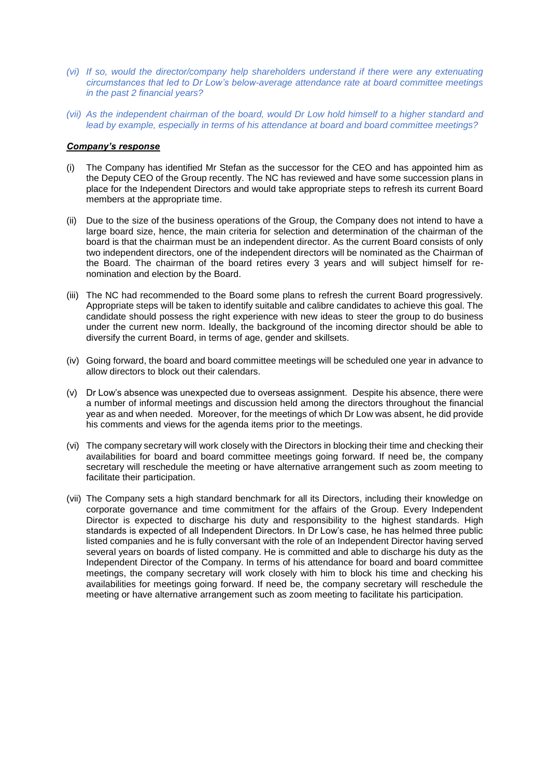- *(vi) If so, would the director/company help shareholders understand if there were any extenuating circumstances that led to Dr Low's below-average attendance rate at board committee meetings in the past 2 financial years?*
- *(vii) As the independent chairman of the board, would Dr Low hold himself to a higher standard and lead by example, especially in terms of his attendance at board and board committee meetings?*

## *Company's response*

- (i) The Company has identified Mr Stefan as the successor for the CEO and has appointed him as the Deputy CEO of the Group recently. The NC has reviewed and have some succession plans in place for the Independent Directors and would take appropriate steps to refresh its current Board members at the appropriate time.
- (ii) Due to the size of the business operations of the Group, the Company does not intend to have a large board size, hence, the main criteria for selection and determination of the chairman of the board is that the chairman must be an independent director. As the current Board consists of only two independent directors, one of the independent directors will be nominated as the Chairman of the Board. The chairman of the board retires every 3 years and will subject himself for renomination and election by the Board.
- (iii) The NC had recommended to the Board some plans to refresh the current Board progressively. Appropriate steps will be taken to identify suitable and calibre candidates to achieve this goal. The candidate should possess the right experience with new ideas to steer the group to do business under the current new norm. Ideally, the background of the incoming director should be able to diversify the current Board, in terms of age, gender and skillsets.
- (iv) Going forward, the board and board committee meetings will be scheduled one year in advance to allow directors to block out their calendars.
- (v) Dr Low's absence was unexpected due to overseas assignment. Despite his absence, there were a number of informal meetings and discussion held among the directors throughout the financial year as and when needed. Moreover, for the meetings of which Dr Low was absent, he did provide his comments and views for the agenda items prior to the meetings.
- (vi) The company secretary will work closely with the Directors in blocking their time and checking their availabilities for board and board committee meetings going forward. If need be, the company secretary will reschedule the meeting or have alternative arrangement such as zoom meeting to facilitate their participation.
- (vii) The Company sets a high standard benchmark for all its Directors, including their knowledge on corporate governance and time commitment for the affairs of the Group. Every Independent Director is expected to discharge his duty and responsibility to the highest standards. High standards is expected of all Independent Directors. In Dr Low's case, he has helmed three public listed companies and he is fully conversant with the role of an Independent Director having served several years on boards of listed company. He is committed and able to discharge his duty as the Independent Director of the Company. In terms of his attendance for board and board committee meetings, the company secretary will work closely with him to block his time and checking his availabilities for meetings going forward. If need be, the company secretary will reschedule the meeting or have alternative arrangement such as zoom meeting to facilitate his participation.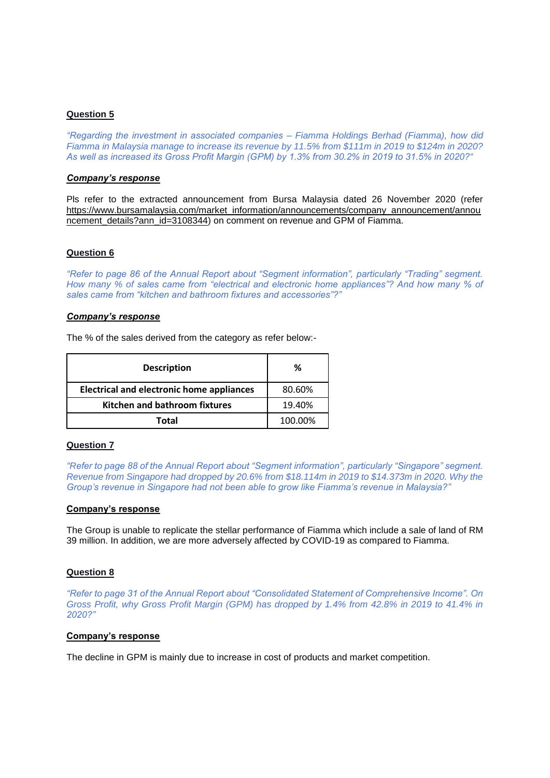*"Regarding the investment in associated companies – Fiamma Holdings Berhad (Fiamma), how did Fiamma in Malaysia manage to increase its revenue by 11.5% from \$111m in 2019 to \$124m in 2020? As well as increased its Gross Profit Margin (GPM) by 1.3% from 30.2% in 2019 to 31.5% in 2020?"* 

### *Company's response*

Pls refer to the extracted announcement from Bursa Malaysia dated 26 November 2020 (refer [https://www.bursamalaysia.com/market\\_information/announcements/company\\_announcement/annou](https://www.bursamalaysia.com/market_information/announcements/company_announcement/announcement_details?ann_id=3108344) ncement details?ann\_id=3108344) on comment on revenue and GPM of Fiamma.

## **Question 6**

*"Refer to page 86 of the Annual Report about "Segment information", particularly "Trading" segment. How many % of sales came from "electrical and electronic home appliances"? And how many % of sales came from "kitchen and bathroom fixtures and accessories"?"*

#### *Company's response*

The % of the sales derived from the category as refer below:-

| <b>Description</b>                               | %       |
|--------------------------------------------------|---------|
| <b>Electrical and electronic home appliances</b> | 80.60%  |
| Kitchen and bathroom fixtures                    | 19.40%  |
| Total                                            | 100.00% |

## **Question 7**

*"Refer to page 88 of the Annual Report about "Segment information", particularly "Singapore" segment. Revenue from Singapore had dropped by 20.6% from \$18.114m in 2019 to \$14.373m in 2020. Why the Group's revenue in Singapore had not been able to grow like Fiamma's revenue in Malaysia?"*

#### **Company's response**

The Group is unable to replicate the stellar performance of Fiamma which include a sale of land of RM 39 million. In addition, we are more adversely affected by COVID-19 as compared to Fiamma.

#### **Question 8**

*"Refer to page 31 of the Annual Report about "Consolidated Statement of Comprehensive Income". On Gross Profit, why Gross Profit Margin (GPM) has dropped by 1.4% from 42.8% in 2019 to 41.4% in 2020?"*

#### **Company's response**

The decline in GPM is mainly due to increase in cost of products and market competition.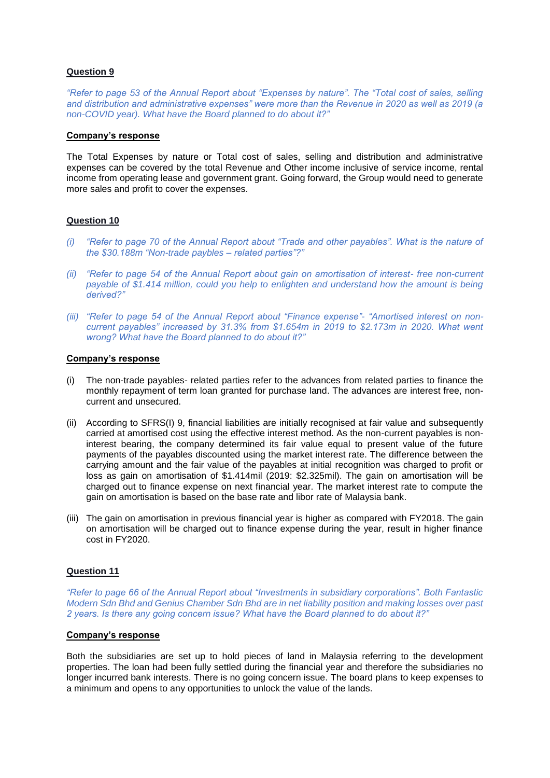*"Refer to page 53 of the Annual Report about "Expenses by nature". The "Total cost of sales, selling and distribution and administrative expenses" were more than the Revenue in 2020 as well as 2019 (a non-COVID year). What have the Board planned to do about it?"*

#### **Company's response**

The Total Expenses by nature or Total cost of sales, selling and distribution and administrative expenses can be covered by the total Revenue and Other income inclusive of service income, rental income from operating lease and government grant. Going forward, the Group would need to generate more sales and profit to cover the expenses.

## **Question 10**

- *(i) "Refer to page 70 of the Annual Report about "Trade and other payables". What is the nature of the \$30.188m "Non-trade paybles – related parties"?"*
- *(ii) "Refer to page 54 of the Annual Report about gain on amortisation of interest- free non-current payable of \$1.414 million, could you help to enlighten and understand how the amount is being derived?"*
- *(iii) "Refer to page 54 of the Annual Report about "Finance expense"- "Amortised interest on noncurrent payables" increased by 31.3% from \$1.654m in 2019 to \$2.173m in 2020. What went wrong? What have the Board planned to do about it?"*

# **Company's response**

- (i) The non-trade payables- related parties refer to the advances from related parties to finance the monthly repayment of term loan granted for purchase land. The advances are interest free, noncurrent and unsecured.
- (ii) According to SFRS(I) 9, financial liabilities are initially recognised at fair value and subsequently carried at amortised cost using the effective interest method. As the non-current payables is noninterest bearing, the company determined its fair value equal to present value of the future payments of the payables discounted using the market interest rate. The difference between the carrying amount and the fair value of the payables at initial recognition was charged to profit or loss as gain on amortisation of \$1.414mil (2019: \$2.325mil). The gain on amortisation will be charged out to finance expense on next financial year. The market interest rate to compute the gain on amortisation is based on the base rate and libor rate of Malaysia bank.
- (iii) The gain on amortisation in previous financial year is higher as compared with FY2018. The gain on amortisation will be charged out to finance expense during the year, result in higher finance cost in FY2020.

# **Question 11**

*"Refer to page 66 of the Annual Report about "Investments in subsidiary corporations". Both Fantastic Modern Sdn Bhd and Genius Chamber Sdn Bhd are in net liability position and making losses over past 2 years. Is there any going concern issue? What have the Board planned to do about it?"*

## **Company's response**

Both the subsidiaries are set up to hold pieces of land in Malaysia referring to the development properties. The loan had been fully settled during the financial year and therefore the subsidiaries no longer incurred bank interests. There is no going concern issue. The board plans to keep expenses to a minimum and opens to any opportunities to unlock the value of the lands.